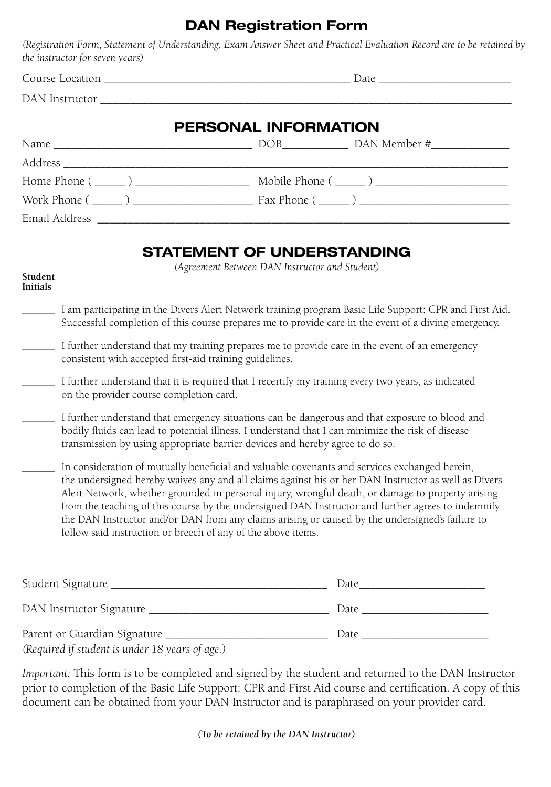# **DAN Registration Form**

*(Registration Form, Statement of Understanding, Exam Answer Sheet and Practical Evaluation Record are to be retained by the instructor for seven years)*

Course Location \_\_\_\_\_\_\_\_\_\_\_\_\_\_\_\_\_\_\_\_\_\_\_\_\_\_\_\_\_\_\_\_\_\_\_\_\_\_\_\_\_ Date \_\_\_\_\_\_\_\_\_\_\_\_\_\_\_\_\_\_\_\_\_\_

DAN Instructor **and a** 

# **PERSONAL INFORMATION**

| Name<br><u> 1980 - Andrea Andrewski, fransk politik (d. 1980)</u> | DAN Member #<br>DOB <sub>p</sub> |
|-------------------------------------------------------------------|----------------------------------|
|                                                                   |                                  |
| Home Phone $(\_\_)$                                               | Mobile Phone $(\_\_)$            |
| Work Phone $(\_\_)$                                               | Fax Phone $(\_\_)$               |
| Email Address                                                     |                                  |

## **STATEMENT OF UNDERSTANDING**

*(Agreement Between DAN Instructor and Student)*

#### **Student Initials**

- \_\_\_\_\_\_ I am participating in the Divers Alert Network training program Basic Life Support: CPR and First Aid. Successful completion of this course prepares me to provide care in the event of a diving emergency.
- \_\_\_\_\_\_ I further understand that my training prepares me to provide care in the event of an emergency consistent with accepted first-aid training guidelines.
- \_\_\_\_\_\_ I further understand that it is required that I recertify my training every two years, as indicated on the provider course completion card.
- \_\_\_\_\_\_ I further understand that emergency situations can be dangerous and that exposure to blood and bodily fluids can lead to potential illness. I understand that I can minimize the risk of disease transmission by using appropriate barrier devices and hereby agree to do so.
- \_\_\_\_\_\_ In consideration of mutually beneficial and valuable covenants and services exchanged herein, the undersigned hereby waives any and all claims against his or her DAN Instructor as well as Divers Alert Network, whether grounded in personal injury, wrongful death, or damage to property arising from the teaching of this course by the undersigned DAN Instructor and further agrees to indemnify the DAN Instructor and/or DAN from any claims arising or caused by the undersigned's failure to follow said instruction or breech of any of the above items.

| Student Signature                               | Date |
|-------------------------------------------------|------|
|                                                 | Date |
| Parent or Guardian Signature                    | Date |
| (Required if student is under 18 years of age.) |      |

*Important:* This form is to be completed and signed by the student and returned to the DAN Instructor prior to completion of the Basic Life Support: CPR and First Aid course and certification. A copy of this document can be obtained from your DAN Instructor and is paraphrased on your provider card.

### *(To be retained by the DAN Instructor)*